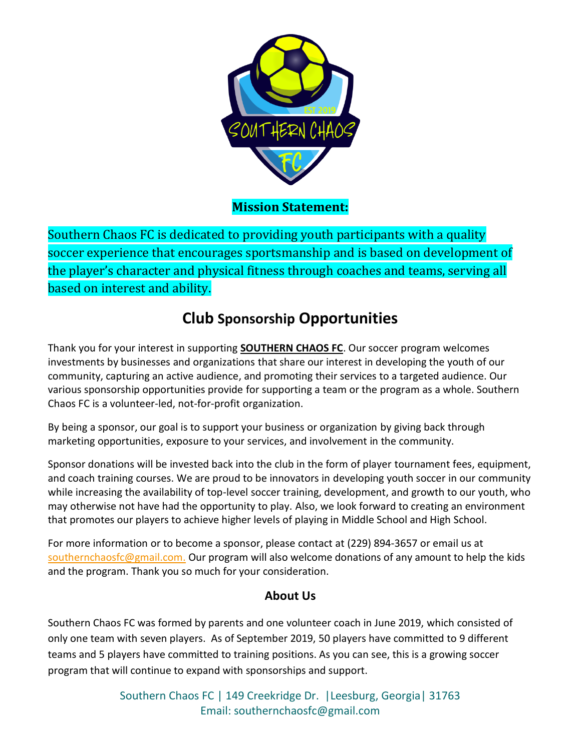

**Mission Statement:**

Southern Chaos FC is dedicated to providing youth participants with a quality soccer experience that encourages sportsmanship and is based on development of the player's character and physical fitness through coaches and teams, serving all based on interest and ability.

## **Club Sponsorship Opportunities**

Thank you for your interest in supporting **SOUTHERN CHAOS FC**. Our soccer program welcomes investments by businesses and organizations that share our interest in developing the youth of our community, capturing an active audience, and promoting their services to a targeted audience. Our various sponsorship opportunities provide for supporting a team or the program as a whole. Southern Chaos FC is a volunteer-led, not-for-profit organization.

By being a sponsor, our goal is to support your business or organization by giving back through marketing opportunities, exposure to your services, and involvement in the community.

Sponsor donations will be invested back into the club in the form of player tournament fees, equipment, and coach training courses. We are proud to be innovators in developing youth soccer in our community while increasing the availability of top-level soccer training, development, and growth to our youth, who may otherwise not have had the opportunity to play. Also, we look forward to creating an environment that promotes our players to achieve higher levels of playing in Middle School and High School.

For more information or to become a sponsor, please contact at (229) 894-3657 or email us at [southernchaosfc@gmail.com.](mailto:southernchaosfc@gmail.com) Our program will also welcome donations of any amount to help the kids and the program. Thank you so much for your consideration.

### **About Us**

Southern Chaos FC was formed by parents and one volunteer coach in June 2019, which consisted of only one team with seven players. As of September 2019, 50 players have committed to 9 different teams and 5 players have committed to training positions. As you can see, this is a growing soccer program that will continue to expand with sponsorships and support.

> Southern Chaos FC | 149 Creekridge Dr. |Leesburg, Georgia| 31763 Email: southernchaosfc@gmail.com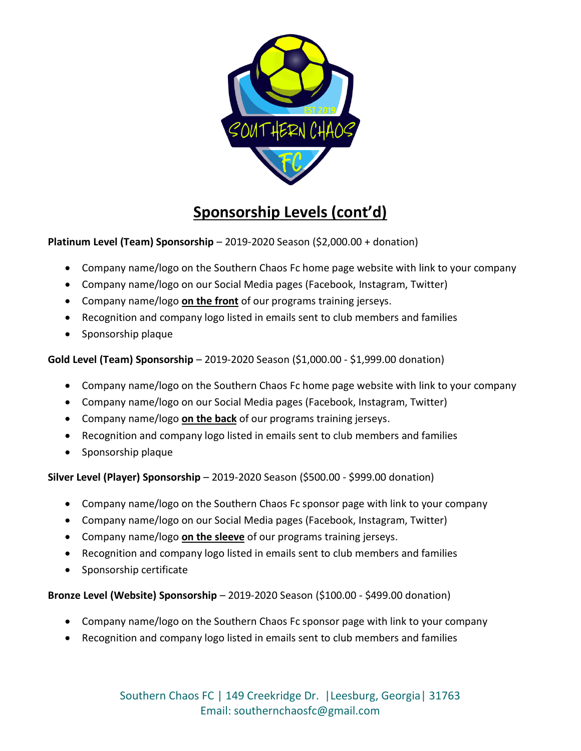

# **Sponsorship Levels (cont'd)**

#### **Platinum Level (Team) Sponsorship** – 2019-2020 Season (\$2,000.00 + donation)

- Company name/logo on the Southern Chaos Fc home page website with link to your company
- Company name/logo on our Social Media pages (Facebook, Instagram, Twitter)
- Company name/logo **on the front** of our programs training jerseys.
- Recognition and company logo listed in emails sent to club members and families
- Sponsorship plaque

#### **Gold Level (Team) Sponsorship** – 2019-2020 Season (\$1,000.00 - \$1,999.00 donation)

- Company name/logo on the Southern Chaos Fc home page website with link to your company
- Company name/logo on our Social Media pages (Facebook, Instagram, Twitter)
- Company name/logo **on the back** of our programs training jerseys.
- Recognition and company logo listed in emails sent to club members and families
- Sponsorship plaque

#### **Silver Level (Player) Sponsorship** – 2019-2020 Season (\$500.00 - \$999.00 donation)

- Company name/logo on the Southern Chaos Fc sponsor page with link to your company
- Company name/logo on our Social Media pages (Facebook, Instagram, Twitter)
- Company name/logo **on the sleeve** of our programs training jerseys.
- Recognition and company logo listed in emails sent to club members and families
- Sponsorship certificate

#### **Bronze Level (Website) Sponsorship** – 2019-2020 Season (\$100.00 - \$499.00 donation)

- Company name/logo on the Southern Chaos Fc sponsor page with link to your company
- Recognition and company logo listed in emails sent to club members and families

Southern Chaos FC | 149 Creekridge Dr. |Leesburg, Georgia| 31763 Email: southernchaosfc@gmail.com